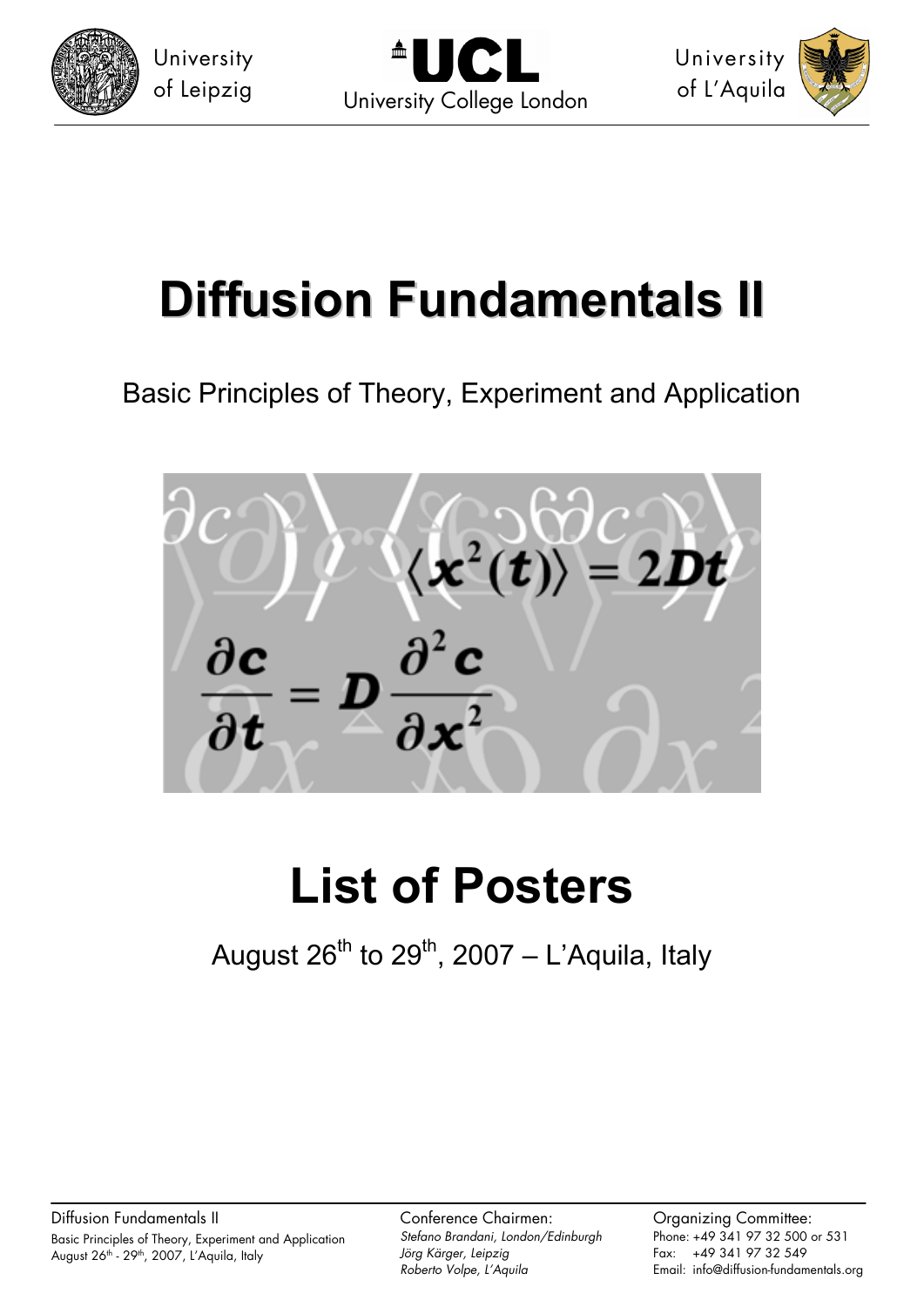



University of L'Aquila



# **Diffusion Fundamentals II**

Basic Principles of Theory, Experiment and Application



# **List of Posters**

August  $26^{th}$  to  $29^{th}$ , 2007 – L'Aquila, Italy

Diffusion Fundamentals II Basic Principles of Theory, Experiment and Application August 26<sup>th</sup> - 29<sup>th</sup>, 2007, L'Aquila, Italy

Conference Chairmen: *Stefano Brandani, London/Edinburgh Jörg Kärger, Leipzig Roberto Volpe, L'Aquila* 

Organizing Committee: Phone: +49 341 97 32 500 or 531 Fax: +49 341 97 32 549 Email: info@diffusion-fundamentals.org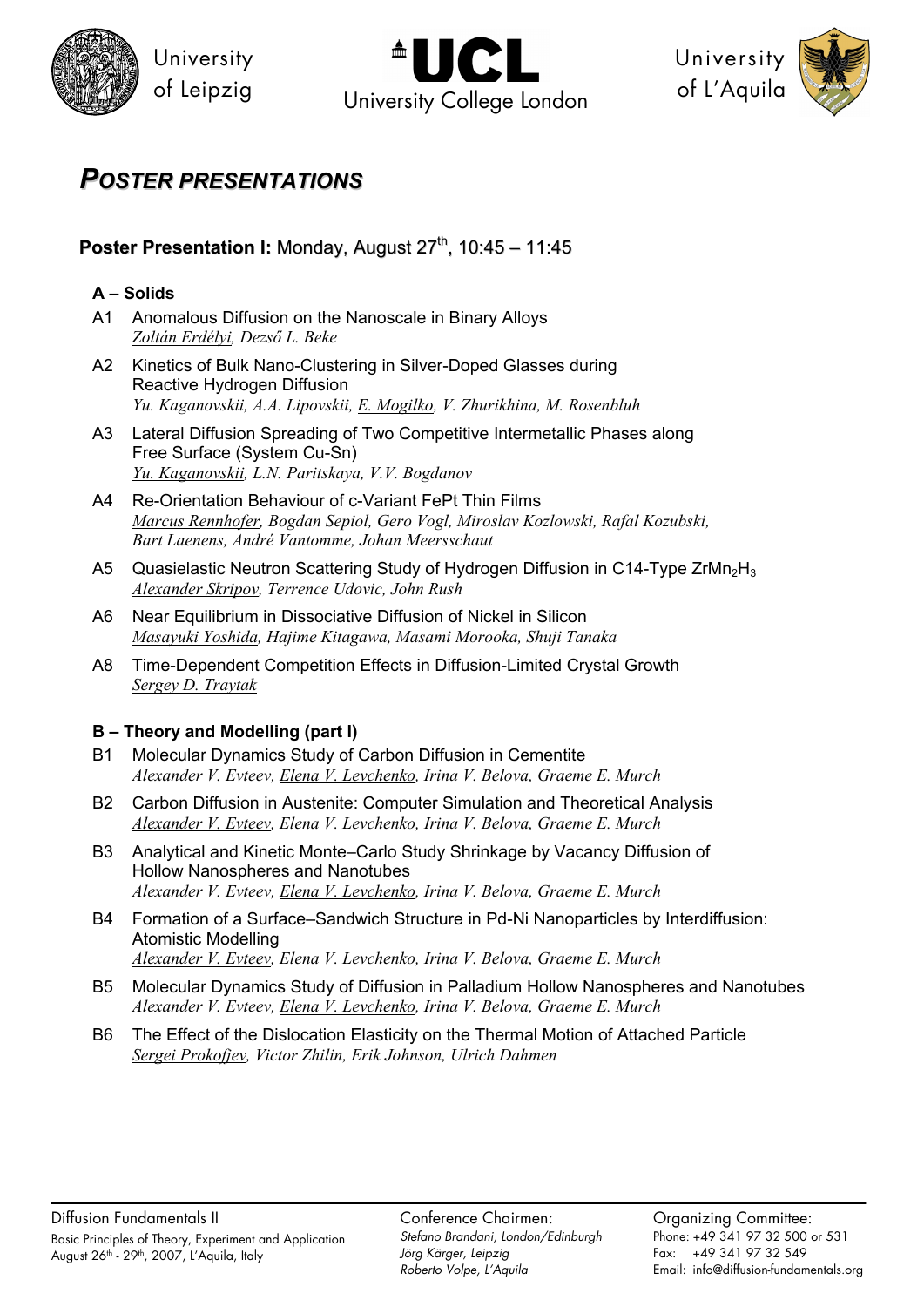



University of L'Aquila



# *POSTER PRESENTATIONS*

# **Poster Presentation I:** Monday, August 27<sup>th</sup>, 10:45 – 11:45

#### **A – Solids**

- A1 Anomalous Diffusion on the Nanoscale in Binary Alloys *Zoltán Erdélyi, Dezső L. Beke*
- A2 Kinetics of Bulk Nano-Clustering in Silver-Doped Glasses during Reactive Hydrogen Diffusion *Yu. Kaganovskii, A.A. Lipovskii, E. Mogilko, V. Zhurikhina, M. Rosenbluh*
- A3 Lateral Diffusion Spreading of Two Competitive Intermetallic Phases along Free Surface (System Cu-Sn) *Yu. Kaganovskii, L.N. Paritskaya, V.V. Bogdanov*
- A4 Re-Orientation Behaviour of c-Variant FePt Thin Films *Marcus Rennhofer, Bogdan Sepiol, Gero Vogl, Miroslav Kozlowski, Rafal Kozubski, Bart Laenens, André Vantomme, Johan Meersschaut*
- A5 Quasielastic Neutron Scattering Study of Hydrogen Diffusion in C14-Type ZrMn<sub>2</sub>H<sub>3</sub> *Alexander Skripov, Terrence Udovic, John Rush*
- A6 Near Equilibrium in Dissociative Diffusion of Nickel in Silicon *Masayuki Yoshida, Hajime Kitagawa, Masami Morooka, Shuji Tanaka*
- A8 Time-Dependent Competition Effects in Diffusion-Limited Crystal Growth *Sergey D. Traytak*

### **B – Theory and Modelling (part I)**

- B1 Molecular Dynamics Study of Carbon Diffusion in Cementite *Alexander V. Evteev, Elena V. Levchenko, Irina V. Belova, Graeme E. Murch*
- B2 Carbon Diffusion in Austenite: Computer Simulation and Theoretical Analysis *Alexander V. Evteev, Elena V. Levchenko, Irina V. Belova, Graeme E. Murch*
- B3 Analytical and Kinetic Monte–Carlo Study Shrinkage by Vacancy Diffusion of Hollow Nanospheres and Nanotubes *Alexander V. Evteev, Elena V. Levchenko, Irina V. Belova, Graeme E. Murch*
- B4 Formation of a Surface–Sandwich Structure in Pd-Ni Nanoparticles by Interdiffusion: Atomistic Modelling *Alexander V. Evteev, Elena V. Levchenko, Irina V. Belova, Graeme E. Murch*
- B5 Molecular Dynamics Study of Diffusion in Palladium Hollow Nanospheres and Nanotubes *Alexander V. Evteev, Elena V. Levchenko, Irina V. Belova, Graeme E. Murch*
- B6 The Effect of the Dislocation Elasticity on the Thermal Motion of Attached Particle *Sergei Prokofjev, Victor Zhilin, Erik Johnson, Ulrich Dahmen*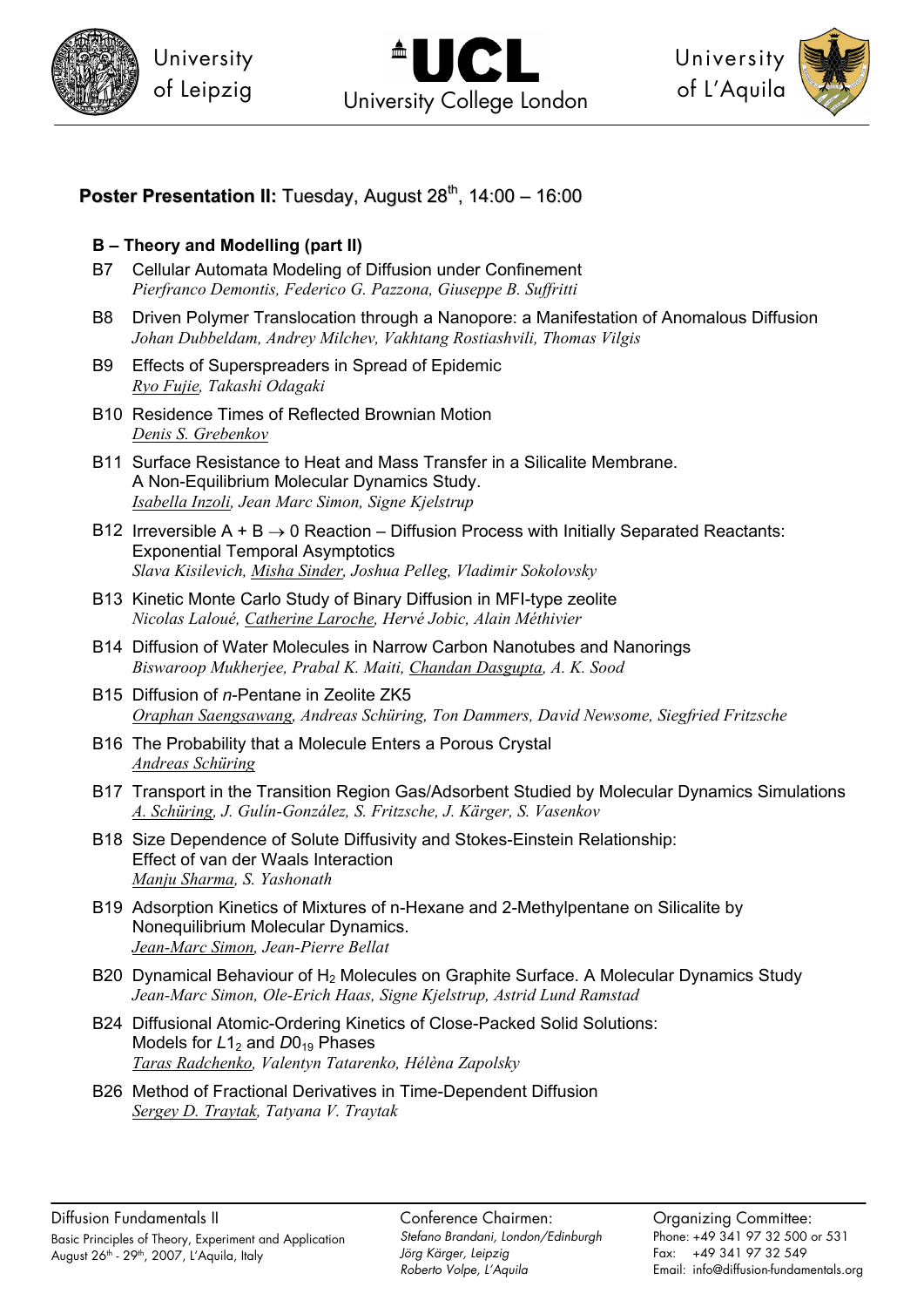



University of L'Aquila



### **Poster Presentation II:** Tuesday, August 28<sup>th</sup>, 14:00 – 16:00

#### **B – Theory and Modelling (part II)**

- B7 Cellular Automata Modeling of Diffusion under Confinement *Pierfranco Demontis, Federico G. Pazzona, Giuseppe B. Suffritti*
- B8 Driven Polymer Translocation through a Nanopore: a Manifestation of Anomalous Diffusion *Johan Dubbeldam, Andrey Milchev, Vakhtang Rostiashvili, Thomas Vilgis*
- B9 Effects of Superspreaders in Spread of Epidemic *Ryo Fujie, Takashi Odagaki*
- B10 Residence Times of Reflected Brownian Motion *Denis S. Grebenkov*
- B11 Surface Resistance to Heat and Mass Transfer in a Silicalite Membrane. A Non-Equilibrium Molecular Dynamics Study. *Isabella Inzoli, Jean Marc Simon, Signe Kjelstrup*
- B12 Irreversible  $A + B \rightarrow 0$  Reaction Diffusion Process with Initially Separated Reactants: Exponential Temporal Asymptotics *Slava Kisilevich, Misha Sinder, Joshua Pelleg, Vladimir Sokolovsky*
- B13 Kinetic Monte Carlo Study of Binary Diffusion in MFI-type zeolite *Nicolas Laloué, Catherine Laroche, Hervé Jobic, Alain Méthivier*
- B14 Diffusion of Water Molecules in Narrow Carbon Nanotubes and Nanorings *Biswaroop Mukherjee, Prabal K. Maiti, Chandan Dasgupta, A. K. Sood*
- B15 Diffusion of *n*-Pentane in Zeolite ZK5 *Oraphan Saengsawang, Andreas Schüring, Ton Dammers, David Newsome, Siegfried Fritzsche*
- B16 The Probability that a Molecule Enters a Porous Crystal *Andreas Schüring*
- B17 Transport in the Transition Region Gas/Adsorbent Studied by Molecular Dynamics Simulations *A. Schüring, J. Gulín-González, S. Fritzsche, J. Kärger, S. Vasenkov*
- B18 Size Dependence of Solute Diffusivity and Stokes-Einstein Relationship: Effect of van der Waals Interaction *Manju Sharma, S. Yashonath*
- B19 Adsorption Kinetics of Mixtures of n-Hexane and 2-Methylpentane on Silicalite by Nonequilibrium Molecular Dynamics. *Jean-Marc Simon, Jean-Pierre Bellat*
- B20 Dynamical Behaviour of  $H_2$  Molecules on Graphite Surface. A Molecular Dynamics Study *Jean-Marc Simon, Ole-Erich Haas, Signe Kjelstrup, Astrid Lund Ramstad*
- B24 Diffusional Atomic-Ordering Kinetics of Close-Packed Solid Solutions: Models for *L*1<sub>2</sub> and *D*0<sub>19</sub> Phases *Taras Radchenko, Valentyn Tatarenko, Hélèna Zapolsky*
- B26 Method of Fractional Derivatives in Time-Dependent Diffusion *Sergey D. Traytak, Tatyana V. Traytak*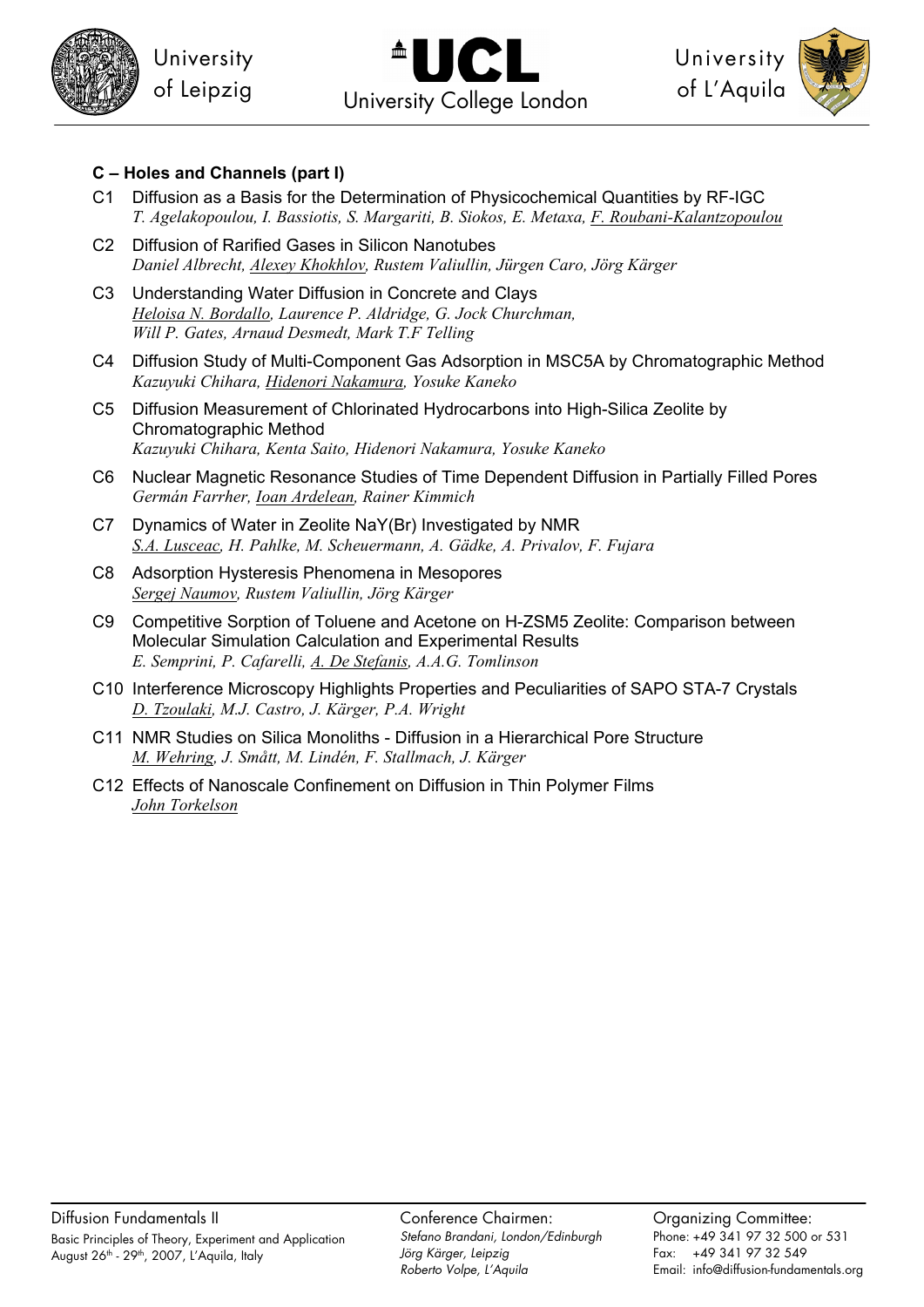





#### **C – Holes and Channels (part I)**

- C1 Diffusion as a Basis for the Determination of Physicochemical Quantities by RF-IGC *T. Agelakopoulou, I. Bassiotis, S. Margariti, B. Siokos, E. Metaxa, F. Roubani-Kalantzopoulou*
- C2 Diffusion of Rarified Gases in Silicon Nanotubes *Daniel Albrecht, Alexey Khokhlov, Rustem Valiullin, Jürgen Caro, Jörg Kärger*
- C3 Understanding Water Diffusion in Concrete and Clays *Heloisa N. Bordallo, Laurence P. Aldridge, G. Jock Churchman, Will P. Gates, Arnaud Desmedt, Mark T.F Telling*
- C4 Diffusion Study of Multi-Component Gas Adsorption in MSC5A by Chromatographic Method *Kazuyuki Chihara, Hidenori Nakamura, Yosuke Kaneko*
- C5 Diffusion Measurement of Chlorinated Hydrocarbons into High-Silica Zeolite by Chromatographic Method *Kazuyuki Chihara, Kenta Saito, Hidenori Nakamura, Yosuke Kaneko*
- C6 Nuclear Magnetic Resonance Studies of Time Dependent Diffusion in Partially Filled Pores *Germán Farrher, Ioan Ardelean, Rainer Kimmich*
- C7 Dynamics of Water in Zeolite NaY(Br) Investigated by NMR *S.A. Lusceac, H. Pahlke, M. Scheuermann, A. Gädke, A. Privalov, F. Fujara*
- C8 Adsorption Hysteresis Phenomena in Mesopores *Sergej Naumov, Rustem Valiullin, Jörg Kärger*
- C9 Competitive Sorption of Toluene and Acetone on H-ZSM5 Zeolite: Comparison between Molecular Simulation Calculation and Experimental Results *E. Semprini, P. Cafarelli, A. De Stefanis, A.A.G. Tomlinson*
- C10 Interference Microscopy Highlights Properties and Peculiarities of SAPO STA-7 Crystals *D. Tzoulaki, M.J. Castro, J. Kärger, P.A. Wright*
- C11 NMR Studies on Silica Monoliths Diffusion in a Hierarchical Pore Structure *M. Wehring, J. Smått, M. Lindén, F. Stallmach, J. Kärger*
- C12 Effects of Nanoscale Confinement on Diffusion in Thin Polymer Films *John Torkelson*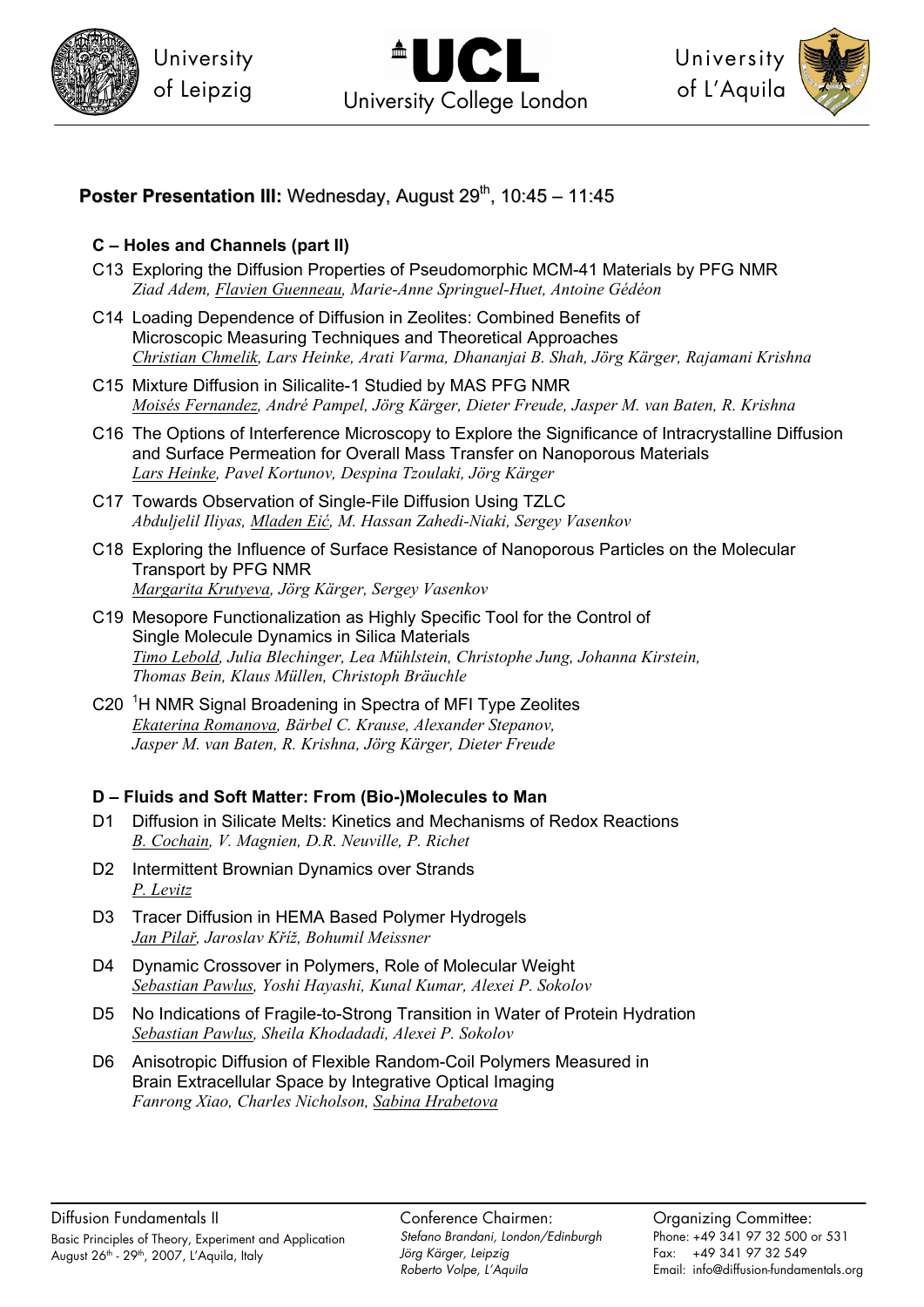



University of L'Aquila



## **Poster Presentation III:** Wednesday, August 29<sup>th</sup>, 10:45 – 11:45

#### **C – Holes and Channels (part II)**

- C13 Exploring the Diffusion Properties of Pseudomorphic MCM-41 Materials by PFG NMR *Ziad Adem, Flavien Guenneau, Marie-Anne Springuel-Huet, Antoine Gédéon*
- C14 Loading Dependence of Diffusion in Zeolites: Combined Benefits of Microscopic Measuring Techniques and Theoretical Approaches *Christian Chmelik, Lars Heinke, Arati Varma, Dhananjai B. Shah, Jörg Kärger, Rajamani Krishna*
- C15 Mixture Diffusion in Silicalite-1 Studied by MAS PFG NMR *Moisés Fernandez, André Pampel, Jörg Kärger, Dieter Freude, Jasper M. van Baten, R. Krishna*
- C16 The Options of Interference Microscopy to Explore the Significance of Intracrystalline Diffusion and Surface Permeation for Overall Mass Transfer on Nanoporous Materials *Lars Heinke, Pavel Kortunov, Despina Tzoulaki, Jörg Kärger*
- C17 Towards Observation of Single-File Diffusion Using TZLC *Abduljelil Iliyas, Mladen Eić, M. Hassan Zahedi-Niaki, Sergey Vasenkov*
- C18 Exploring the Influence of Surface Resistance of Nanoporous Particles on the Molecular Transport by PFG NMR *Margarita Krutyeva, Jörg Kärger, Sergey Vasenkov*
- C19 Mesopore Functionalization as Highly Specific Tool for the Control of Single Molecule Dynamics in Silica Materials *Timo Lebold, Julia Blechinger, Lea Mühlstein, Christophe Jung, Johanna Kirstein, Thomas Bein, Klaus Müllen, Christoph Bräuchle*
- C20<sup>1</sup>H NMR Signal Broadening in Spectra of MFI Type Zeolites *Ekaterina Romanova, Bärbel C. Krause, Alexander Stepanov, Jasper M. van Baten, R. Krishna, Jörg Kärger, Dieter Freude*

#### **D – Fluids and Soft Matter: From (Bio-)Molecules to Man**

- D1 Diffusion in Silicate Melts: Kinetics and Mechanisms of Redox Reactions *B. Cochain, V. Magnien, D.R. Neuville, P. Richet*
- D2 Intermittent Brownian Dynamics over Strands *P. Levitz*
- D3 Tracer Diffusion in HEMA Based Polymer Hydrogels *Jan Pilař, Jaroslav Kříž, Bohumil Meissner*
- D4 Dynamic Crossover in Polymers, Role of Molecular Weight *Sebastian Pawlus, Yoshi Hayashi, Kunal Kumar, Alexei P. Sokolov*
- D5 No Indications of Fragile-to-Strong Transition in Water of Protein Hydration *Sebastian Pawlus, Sheila Khodadadi, Alexei P. Sokolov*
- D6 Anisotropic Diffusion of Flexible Random-Coil Polymers Measured in Brain Extracellular Space by Integrative Optical Imaging *Fanrong Xiao, Charles Nicholson, Sabina Hrabetova*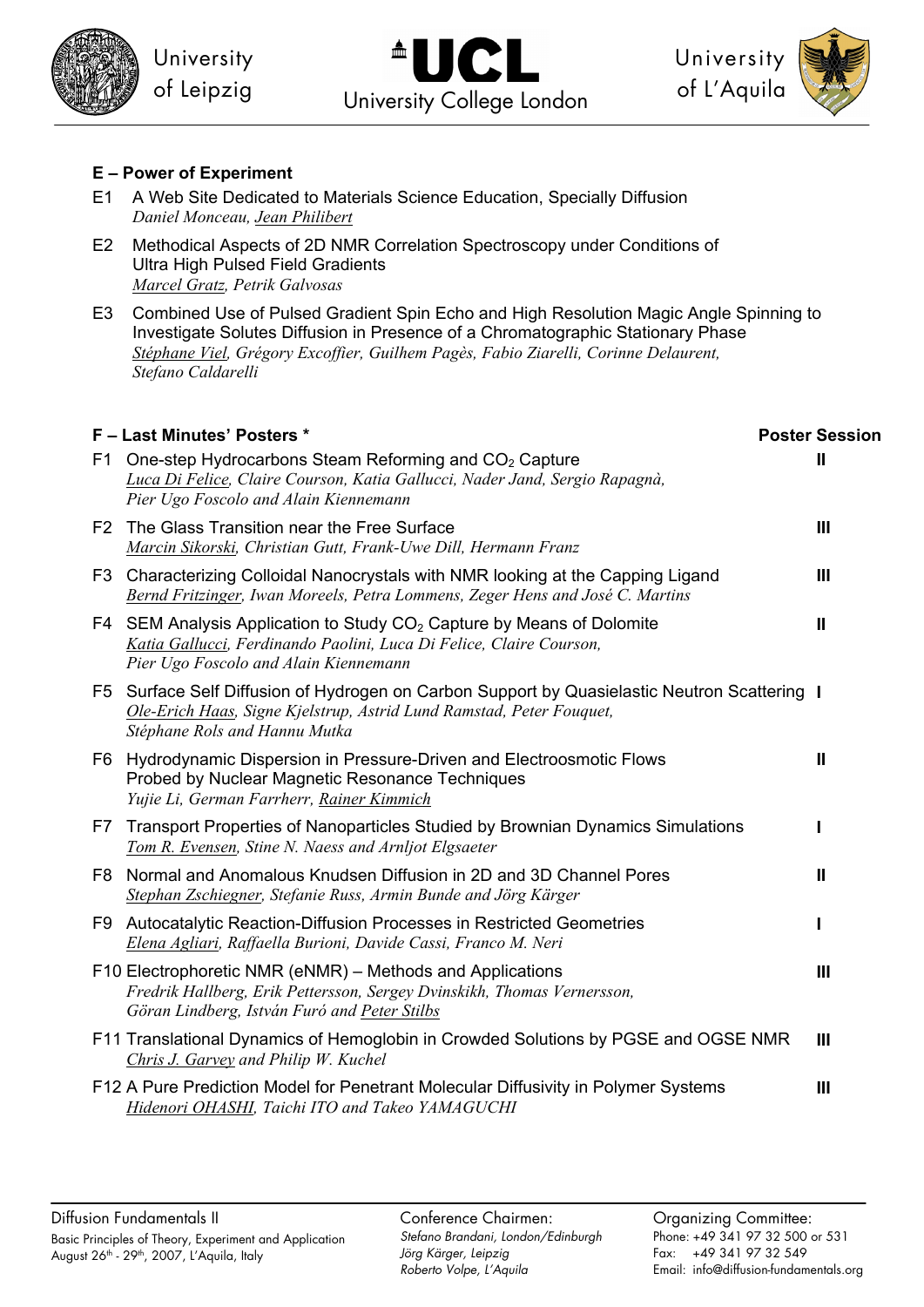



University of L'Aquila



#### **E – Power of Experiment**

- E1 A Web Site Dedicated to Materials Science Education, Specially Diffusion *Daniel Monceau, Jean Philibert*
- E2 Methodical Aspects of 2D NMR Correlation Spectroscopy under Conditions of Ultra High Pulsed Field Gradients *Marcel Gratz, Petrik Galvosas*
- E3 Combined Use of Pulsed Gradient Spin Echo and High Resolution Magic Angle Spinning to Investigate Solutes Diffusion in Presence of a Chromatographic Stationary Phase *Stéphane Viel, Grégory Excoffier, Guilhem Pagès, Fabio Ziarelli, Corinne Delaurent, Stefano Caldarelli*

|     | F - Last Minutes' Posters *                                                                                                                                                                           | <b>Poster Session</b> |
|-----|-------------------------------------------------------------------------------------------------------------------------------------------------------------------------------------------------------|-----------------------|
| F1. | One-step Hydrocarbons Steam Reforming and CO <sub>2</sub> Capture<br>Luca Di Felice, Claire Courson, Katia Gallucci, Nader Jand, Sergio Rapagnà,<br>Pier Ugo Foscolo and Alain Kiennemann             | Ш                     |
|     | F2 The Glass Transition near the Free Surface<br>Marcin Sikorski, Christian Gutt, Frank-Uwe Dill, Hermann Franz                                                                                       | $\mathbf{III}$        |
|     | F3 Characterizing Colloidal Nanocrystals with NMR looking at the Capping Ligand<br>Bernd Fritzinger, Iwan Moreels, Petra Lommens, Zeger Hens and José C. Martins                                      | Ш                     |
| F4  | SEM Analysis Application to Study $CO2$ Capture by Means of Dolomite<br>Katia Gallucci, Ferdinando Paolini, Luca Di Felice, Claire Courson,<br>Pier Ugo Foscolo and Alain Kiennemann                  | $\mathbf{I}$          |
|     | F5 Surface Self Diffusion of Hydrogen on Carbon Support by Quasielastic Neutron Scattering I<br>Ole-Erich Haas, Signe Kjelstrup, Astrid Lund Ramstad, Peter Fouquet,<br>Stéphane Rols and Hannu Mutka |                       |
|     | F6 Hydrodynamic Dispersion in Pressure-Driven and Electroosmotic Flows<br>Probed by Nuclear Magnetic Resonance Techniques<br>Yujie Li, German Farrherr, Rainer Kimmich                                | $\mathbf{I}$          |
| F7  | Transport Properties of Nanoparticles Studied by Brownian Dynamics Simulations<br>Tom R. Evensen, Stine N. Naess and Arnljot Elgsaeter                                                                |                       |
|     | F8 Normal and Anomalous Knudsen Diffusion in 2D and 3D Channel Pores<br>Stephan Zschiegner, Stefanie Russ, Armin Bunde and Jörg Kärger                                                                | $\mathbf{I}$          |
|     | F9 Autocatalytic Reaction-Diffusion Processes in Restricted Geometries<br>Elena Agliari, Raffaella Burioni, Davide Cassi, Franco M. Neri                                                              | ı                     |
|     | F10 Electrophoretic NMR (eNMR) – Methods and Applications<br>Fredrik Hallberg, Erik Pettersson, Sergey Dvinskikh, Thomas Vernersson,<br>Göran Lindberg, István Furó and Peter Stilbs                  | Ш                     |
|     | F11 Translational Dynamics of Hemoglobin in Crowded Solutions by PGSE and OGSE NMR<br>Chris J. Garvey and Philip W. Kuchel                                                                            | $\mathbf{III}$        |
|     | F12 A Pure Prediction Model for Penetrant Molecular Diffusivity in Polymer Systems<br>Hidenori OHASHI, Taichi ITO and Takeo YAMAGUCHI                                                                 | Ш                     |